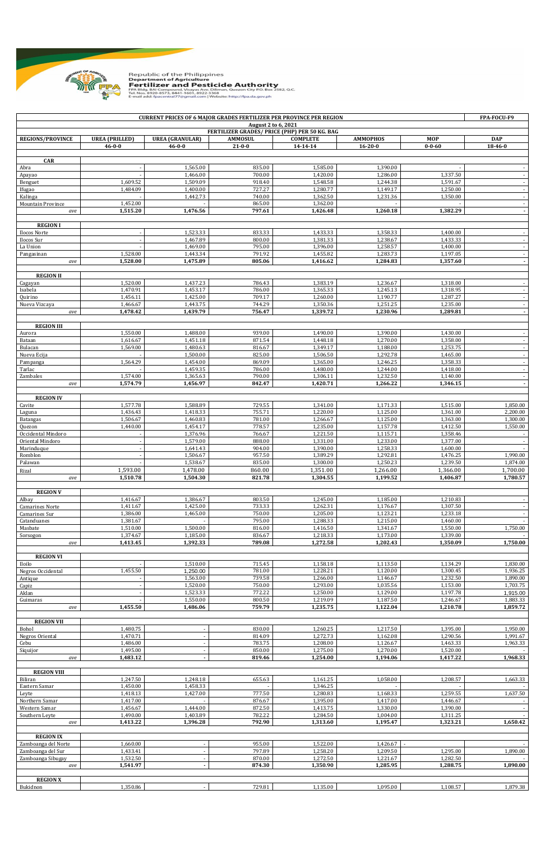

## Republic of the Philippines<br>**Department of Agriculture<br>Fertilizer and Pesticide Authority**<br>FM 8149.844 Compound, Visayas Ave. Diliman, Quezon City P.O. 8ox 2582, Q.C.<br>Tek Nos. 8920-823, 8441-1601, 2022-3368<br>Email add: fpac

|                                        |                       | <b>CURRENT PRICES OF 6 MAJOR GRADES FERTILIZER PER PROVINCE PER REGION</b> |                                                                      |                      |                      |                      | FPA-FOCU-F9                        |
|----------------------------------------|-----------------------|----------------------------------------------------------------------------|----------------------------------------------------------------------|----------------------|----------------------|----------------------|------------------------------------|
|                                        |                       |                                                                            | August 2 to 6, 2021<br>FERTILIZER GRADES/ PRICE (PHP) PER 50 KG. BAG |                      |                      |                      |                                    |
| <b>REGIONS/PROVINCE</b>                | <b>UREA (PRILLED)</b> | <b>UREA (GRANULAR)</b>                                                     | <b>AMMOSUL</b>                                                       | <b>COMPLETE</b>      | <b>AMMOPHOS</b>      | <b>MOP</b>           | <b>DAP</b>                         |
|                                        | $46 - 0 - 0$          | $46 - 0 - 0$                                                               | $21 - 0 - 0$                                                         | 14-14-14             | $16 - 20 - 0$        | $0 - 0 - 60$         | 18-46-0                            |
| <b>CAR</b>                             |                       |                                                                            |                                                                      |                      |                      |                      |                                    |
| Abra                                   |                       | 1,565.00                                                                   | 835.00                                                               | 1,585.00             | 1,390.00             |                      | $\sim$                             |
| Apayao                                 |                       | 1,466.00                                                                   | 700.00                                                               | 1,420.00             | 1,286.00             | 1,337.50             | $\sim$                             |
| Benguet                                | 1,609.52              | 1,509.09                                                                   | 918.40                                                               | 1,548.58             | 1,244.38             | 1,591.67             | $\overline{\phantom{a}}$<br>$\sim$ |
| Ifugao<br>Kalinga                      | 1,484.09              | 1,400.00<br>1,442.73                                                       | 727.27<br>740.00                                                     | 1,280.77<br>1,362.50 | 1,149.17<br>1,231.36 | 1,250.00<br>1,350.00 | $\sim$                             |
| Mountain Province                      | 1,452.00              |                                                                            | 865.00                                                               | 1,362.00             |                      |                      | $\sim$                             |
| ave                                    | 1,515.20              | 1,476.56                                                                   | 797.61                                                               | 1,426.48             | 1,260.18             | 1,382.29             | $\sim$                             |
|                                        |                       |                                                                            |                                                                      |                      |                      |                      |                                    |
| <b>REGION I</b><br>Ilocos Norte        | $\sim$                | 1,523.33                                                                   | 833.33                                                               | 1,433.33             | 1,358.33             | 1,400.00             | $\sim$                             |
| Ilocos Sur                             |                       | 1,467.89                                                                   | 800.00                                                               | 1,381.33             | 1,238.67             | 1,433.33             | $\sim$                             |
| La Union                               |                       | 1,469.00                                                                   | 795.00                                                               | 1,396.00             | 1,258.57             | 1,400.00             | $\sim$                             |
| Pangasinan                             | 1,528.00              | 1,443.34                                                                   | 791.92                                                               | 1,455.82             | 1,283.73             | 1,197.05             | $\sim$                             |
| ave                                    | 1,528.00              | 1,475.89                                                                   | 805.06                                                               | 1,416.62             | 1,284.83             | 1,357.60             | $\overline{\phantom{a}}$           |
| <b>REGION II</b>                       |                       |                                                                            |                                                                      |                      |                      |                      |                                    |
| Cagayan                                | 1,520.00              | 1,437.23                                                                   | 786.43                                                               | 1,383.19             | 1,236.67             | 1,318.00             | $\sim$                             |
| Isabela                                | 1.470.91              | 1,453.17                                                                   | 786.00                                                               | 1,365.33             | 1,245.13             | 1,318.95             | $\sim$                             |
| Quirino                                | 1,456.11              | 1,425.00                                                                   | 709.17                                                               | 1,260.00             | 1,190.77             | 1,287.27             | $\sim$                             |
| Nueva Vizcaya                          | 1,466.67<br>1,478.42  | 1,443.75<br>1,439.79                                                       | 744.29<br>756.47                                                     | 1,350.36<br>1,339.72 | 1,251.25<br>1,230.96 | 1,235.00<br>1,289.81 | $\sim$<br>$\blacksquare$           |
| ave                                    |                       |                                                                            |                                                                      |                      |                      |                      |                                    |
| <b>REGION III</b>                      |                       |                                                                            |                                                                      |                      |                      |                      |                                    |
| Aurora                                 | 1,550.00              | 1,488.00                                                                   | 939.00                                                               | 1,490.00             | 1,390.00             | 1,430.00             | $\blacksquare$                     |
| Bataan                                 | 1,616.67              | 1,451.18                                                                   | 871.54                                                               | 1,448.18             | 1,270.00             | 1,358.00             | $\sim$                             |
| Bulacan                                | 1,569.00              | 1,480.63<br>1,500.00                                                       | 816.67<br>825.00                                                     | 1,349.17<br>1,506.50 | 1,188.00<br>1,292.78 | 1,253.75<br>1,465.00 | $\sim$                             |
| Nueva Ecija<br>Pampanga                | 1,564.29              | 1,454.00                                                                   | 869.09                                                               | 1,365.00             | 1,246.25             | 1,358.33             | $\sim$<br>$\sim$                   |
| Tarlac                                 |                       | 1,459.35                                                                   | 786.00                                                               | 1,480.00             | 1,244.00             | 1,418.00             | $\sim$                             |
| Zambales                               | 1,574.00              | 1,365.63                                                                   | 790.00                                                               | 1,306.11             | 1,232.50             | 1,140.00             | $\sim$                             |
| ave                                    | 1,574.79              | 1,456.97                                                                   | 842.47                                                               | 1,420.71             | 1,266.22             | 1,346.15             | $\overline{\phantom{a}}$           |
| <b>REGION IV</b>                       |                       |                                                                            |                                                                      |                      |                      |                      |                                    |
| Cavite                                 | 1,577.78              | 1,588.89                                                                   | 729.55                                                               | 1,341.00             | 1,171.33             | 1,515.00             | 1,850.00                           |
| Laguna                                 | 1,436.43              | 1,418.33                                                                   | 755.71                                                               | 1,220.00             | 1,125.00             | 1,361.00             | 2,200.00                           |
| <b>Batangas</b>                        | 1,506.67              | 1,460.83                                                                   | 781.00                                                               | 1,266.67             | 1,125.00             | 1,363.00             | 1,300.00                           |
| Quezon                                 | 1,440.00              | 1,454.17                                                                   | 778.57                                                               | 1,235.00             | 1,157.78             | 1,412.50             | 1,550.00                           |
| Occidental Mindoro                     |                       | 1,376.96<br>1,579.00                                                       | 766.67<br>888.00                                                     | 1,221.50<br>1,331.00 | 1,115.71             | 1,358.46<br>1,377.00 |                                    |
| Oriental Mindoro<br>Marinduque         |                       | 1,641.43                                                                   | 904.00                                                               | 1,390.00             | 1,233.00<br>1,258.33 | 1,600.00             | $\sim$<br>$\sim$                   |
| Romblon                                |                       | 1,506.67                                                                   | 957.50                                                               | 1,389.29             | 1,292.81             | 1,476.25             | 1,990.00                           |
| Palawan                                |                       | 1,538.67                                                                   | 835.00                                                               | 1,300.00             | 1,250.23             | 1,239.50             | 1,874.00                           |
| Rizal                                  | 1,593.00              | 1,478.00                                                                   | 860.00                                                               | 1,351.00             | 1,266.00             | 1,366.00             | 1,700.00                           |
| ave                                    | 1,510.78              | 1,504.30                                                                   | 821.78                                                               | 1,304.55             | 1,199.52             | 1,406.87             | 1,780.57                           |
| <b>REGION V</b>                        |                       |                                                                            |                                                                      |                      |                      |                      |                                    |
| Albay                                  | 1,416.67              | 1,386.67                                                                   | 803.50                                                               | 1,245.00             | 1,185.00             | 1,210.83             |                                    |
| <b>Camarines Norte</b>                 | 1,411.67              | 1,425.00                                                                   | 733.33                                                               | 1,262.31             | 1,176.67             | 1,307.50             | $\sim$                             |
| Camarines Sur                          | 1,386.00              | 1,465.00                                                                   | 750.00                                                               | 1,205.00             | 1,123.21             | 1,233.18             |                                    |
| Catanduanes                            | 1,381.67              |                                                                            | 795.00                                                               | 1,288.33             | 1,215.00             | 1,460.00             |                                    |
| Masbate                                | 1,510.00<br>1,374.67  | 1,500.00<br>1,185.00                                                       | 816.00<br>836.67                                                     | 1,416.50<br>1,218.33 | 1,341.67<br>1,173.00 | 1,550.00<br>1,339.00 | 1,750.00                           |
| Sorsogon<br>ave                        | 1,413.45              | 1,392.33                                                                   | 789.08                                                               | 1,272.58             | 1,202.43             | 1,350.09             | 1,750.00                           |
|                                        |                       |                                                                            |                                                                      |                      |                      |                      |                                    |
| <b>REGION VI</b>                       |                       |                                                                            |                                                                      |                      |                      |                      |                                    |
| Iloilo                                 |                       | 1,510.00                                                                   | 715.45                                                               | 1,158.18             | 1,113.50             | 1,134.29             | 1,830.00                           |
| Negros Occidental<br>Antique           | 1,455.50              | 1,250.00<br>1,563.00                                                       | 781.00<br>739.58                                                     | 1,228.21<br>1,266.00 | 1,120.00<br>1,146.67 | 1,300.45<br>1,232.50 | 1,936.25<br>1,890.00               |
| Capiz                                  |                       | 1,520.00                                                                   | 750.00                                                               | 1,293.00             | 1,035.56             | 1,153.00             | 1,703.75                           |
| Aklan                                  |                       | 1,523.33                                                                   | 772.22                                                               | 1,250.00             | 1,129.00             | 1,197.78             | 1,915.00                           |
| Guimaras                               |                       | 1,550.00                                                                   | 800.50                                                               | 1,219.09             | 1,187.50             | 1,246.67             | 1,883.33                           |
| ave                                    | 1,455.50              | 1,486.06                                                                   | 759.79                                                               | 1,235.75             | 1,122.04             | 1,210.78             | 1,859.72                           |
| <b>REGION VII</b>                      |                       |                                                                            |                                                                      |                      |                      |                      |                                    |
| Bohol                                  | 1,480.75              |                                                                            | 830.00                                                               | 1,260.25             | 1,217.50             | 1,395.00             | 1,950.00                           |
| Negros Oriental                        | 1,470.71              |                                                                            | 814.09                                                               | 1,272.73             | 1,162.08             | 1,290.56             | 1,991.67                           |
| Cebu                                   | 1,486.00              |                                                                            | 783.75                                                               | 1,208.00             | 1,126.67             | 1,463.33             | 1,963.33                           |
| Siquijor                               | 1,495.00              | $\sim$                                                                     | 850.00                                                               | 1,275.00             | 1,270.00             | 1,520.00             |                                    |
| ave                                    | 1,483.12              | $\overline{\phantom{a}}$                                                   | 819.46                                                               | 1,254.00             | 1,194.06             | 1,417.22             | 1,968.33                           |
| <b>REGION VIII</b>                     |                       |                                                                            |                                                                      |                      |                      |                      |                                    |
| Biliran                                | 1,247.50              | 1,248.18                                                                   | 655.63                                                               | 1,161.25             | 1,058.00             | 1,208.57             | 1,663.33                           |
| Eastern Samar                          | 1,450.00              | 1,458.33                                                                   |                                                                      | 1,346.25             |                      |                      |                                    |
| Leyte                                  | 1,418.13              | 1,427.00                                                                   | 777.50                                                               | 1,280.83             | 1,168.33             | 1,259.55             | 1,637.50                           |
| Northern Samar                         | 1,417.00              | 1,444.00                                                                   | 876.67                                                               | 1,395.00             | 1,417.00<br>1,330.00 | 1,446.67             | $\sim$                             |
| Western Samar<br>Southern Leyte        | 1,456.67<br>1,490.00  | 1,403.89                                                                   | 872.50<br>782.22                                                     | 1,413.75<br>1,284.50 | 1,004.00             | 1,390.00<br>1,311.25 | $\sim$<br>$\sim$                   |
| ave                                    | 1,413.22              | 1,396.28                                                                   | 792.90                                                               | 1,313.60             | 1,195.47             | 1,323.21             | 1,650.42                           |
|                                        |                       |                                                                            |                                                                      |                      |                      |                      |                                    |
| <b>REGION IX</b>                       |                       |                                                                            |                                                                      |                      |                      |                      |                                    |
| Zamboanga del Norte                    | 1,660.00              |                                                                            | 955.00<br>797.89                                                     | 1,522.00             | 1,426.67<br>1,209.50 |                      | $\sim$<br>1,890.00                 |
| Zamboanga del Sur<br>Zamboanga Sibugay | 1,433.41<br>1,532.50  |                                                                            | 870.00                                                               | 1,258.20<br>1,272.50 | 1,221.67             | 1,295.00<br>1,282.50 |                                    |
| ave                                    | 1,541.97              | $\overline{\phantom{a}}$                                                   | 874.30                                                               | 1,350.90             | 1,285.95             | 1,288.75             | 1,890.00                           |
|                                        |                       |                                                                            |                                                                      |                      |                      |                      |                                    |
| <b>REGION X</b>                        |                       |                                                                            |                                                                      |                      |                      |                      |                                    |
| Bukidnon                               | 1,350.86              |                                                                            | 729.81                                                               | 1,135.00             | 1,095.00             | 1,108.57             | 1,879.38                           |